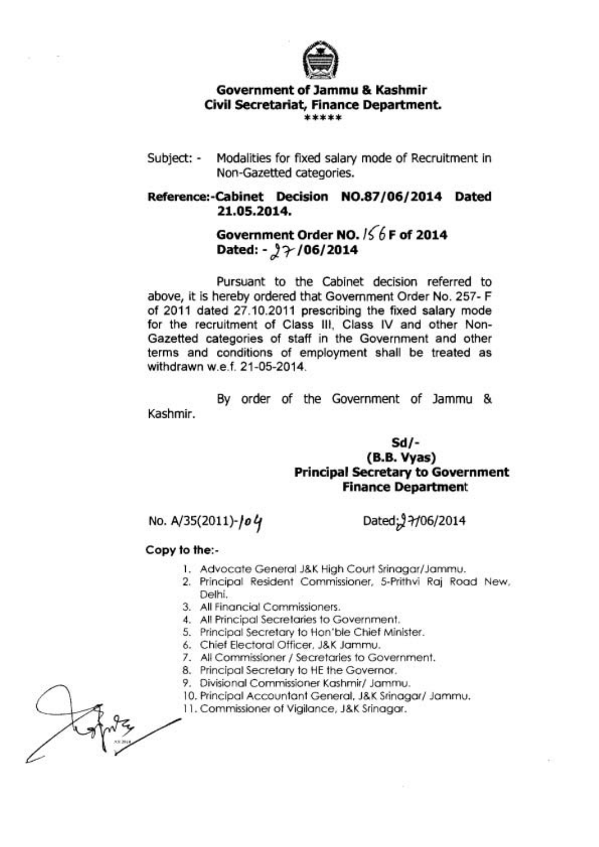

## **Government of Jammu** & **Kashmir Civil Secretariat, Finance Department.** \*\*\*\*\*

Subject: - Modalities for fixed salary mode of Recruitment in Non-Gazetted categories.

## **Reference:-Cabinet Decision N0.87/06/2014 Dated 21.05.2014.**

## **Government Order NO.** 1<6 **F of 2014 Dated: ->~/06/2014**

Pursuant to the Cabinet decision referred to above, it is hereby ordered that Government Order No. 257- F of 2011 dated 27.10.2011 prescribing the fixed salary mode for the recruitment of Class Ill, Class IV and other Non-Gazetted categories of staff in the Government and other terms and conditions of employment shall be treated as withdrawn w.e.f. 21-05-2014.

By order of the Government of Jammu & Kashmir.

> **Sd/- (B.B. Vyas) Principal Secretary to Government Finance Department**

No. A/35(2011)-**/o 4 Dated**; 97/06/2014

## **Copy to the:-**

- 1. Advocate General J&K High Court Srinagar/Jammu.
- 2. Principal Resident Commissioner, 5-Prithvi Raj Road New. Delhi.
- 3. All Financial Commissioners.
- 4. All Principal Secretaries to Government.
- 5. Principal Secretary to Hon'ble Chief Minister.
- 6. Chief Electoral Officer, J&K Jammu.
- 7. All Commissioner / Secretaries to Government.
- 8. Principal Secretary to HE the Governor.
- 9. Divisional Commissioner Kashmir/ Jammu.
- 10. Principal Accountant General, J&K Srinagar/ Jammu.
- 11. Commissioner of Vigilance, J&K Srinagar.